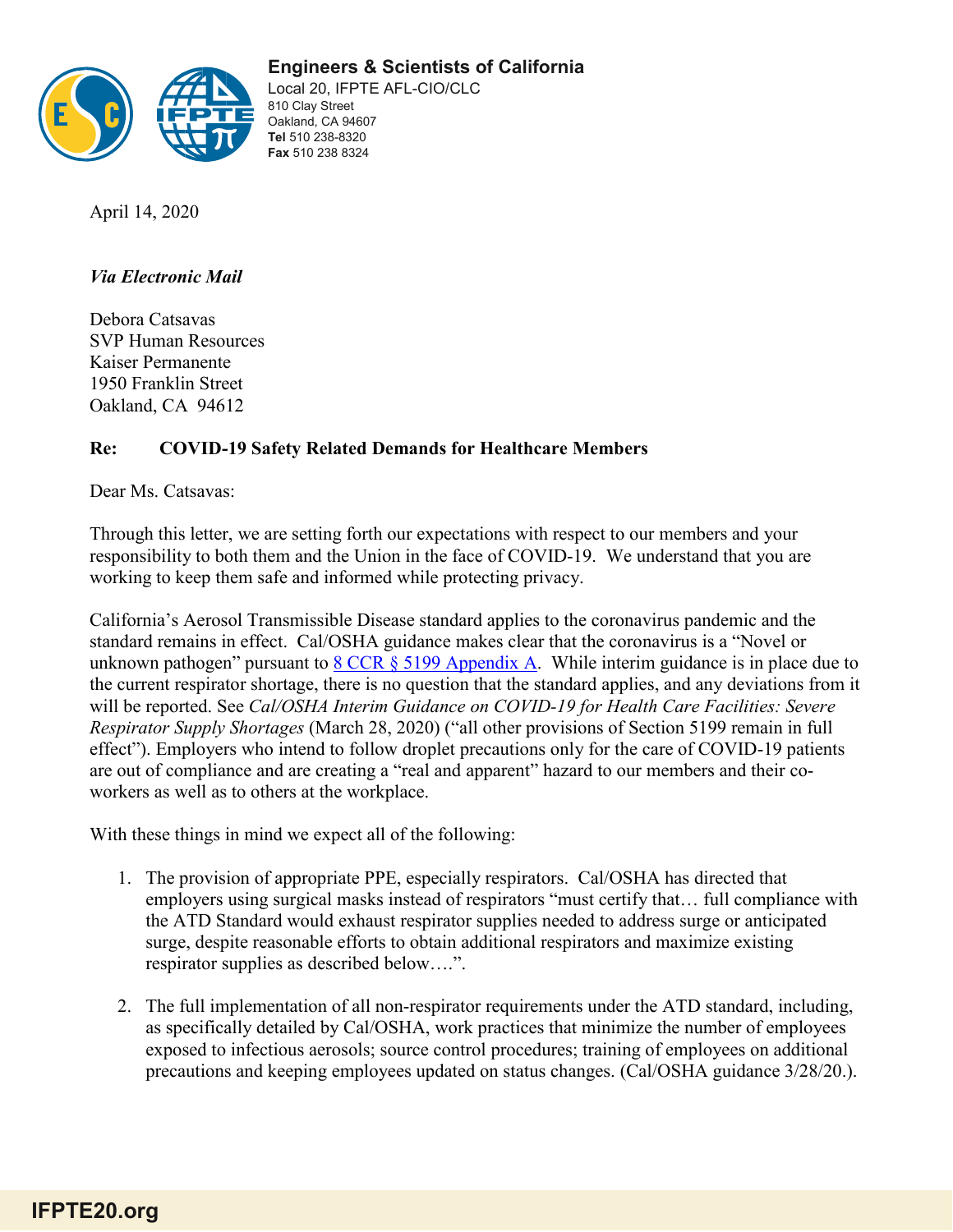**Engineers & Scientists of California** 



Local 20, IFPTE AFL-CIO/CLC 810 Clay Street Oakland, CA 94607 **Tel** 510 238-8320 **Fax** 510 238 8324

April 14, 2020

## *Via Electronic Mail*

Debora Catsavas SVP Human Resources Kaiser Permanente 1950 Franklin Street Oakland, CA 94612

## **Re: COVID-19 Safety Related Demands for Healthcare Members**

Dear Ms. Catsavas:

Through this letter, we are setting forth our expectations with respect to our members and your responsibility to both them and the Union in the face of COVID-19. We understand that you are working to keep them safe and informed while protecting privacy.

California's Aerosol Transmissible Disease standard applies to the coronavirus pandemic and the standard remains in effect. Cal/OSHA guidance makes clear that the coronavirus is a "Novel or unknown pathogen" pursuant to  $8 \text{ CCR }$   $\frac{8 \text{ J}}{9}$  Appendix A. While interim guidance is in place due to the current respirator shortage, there is no question that the standard applies, and any deviations from it will be reported. See *Cal/OSHA Interim Guidance on COVID-19 for Health Care Facilities: Severe Respirator Supply Shortages* (March 28, 2020) ("all other provisions of Section 5199 remain in full effect"). Employers who intend to follow droplet precautions only for the care of COVID-19 patients are out of compliance and are creating a "real and apparent" hazard to our members and their coworkers as well as to others at the workplace.

With these things in mind we expect all of the following:

- 1. The provision of appropriate PPE, especially respirators. Cal/OSHA has directed that employers using surgical masks instead of respirators "must certify that… full compliance with the ATD Standard would exhaust respirator supplies needed to address surge or anticipated surge, despite reasonable efforts to obtain additional respirators and maximize existing respirator supplies as described below….".
- 2. The full implementation of all non-respirator requirements under the ATD standard, including, as specifically detailed by Cal/OSHA, work practices that minimize the number of employees exposed to infectious aerosols; source control procedures; training of employees on additional precautions and keeping employees updated on status changes. (Cal/OSHA guidance 3/28/20.).